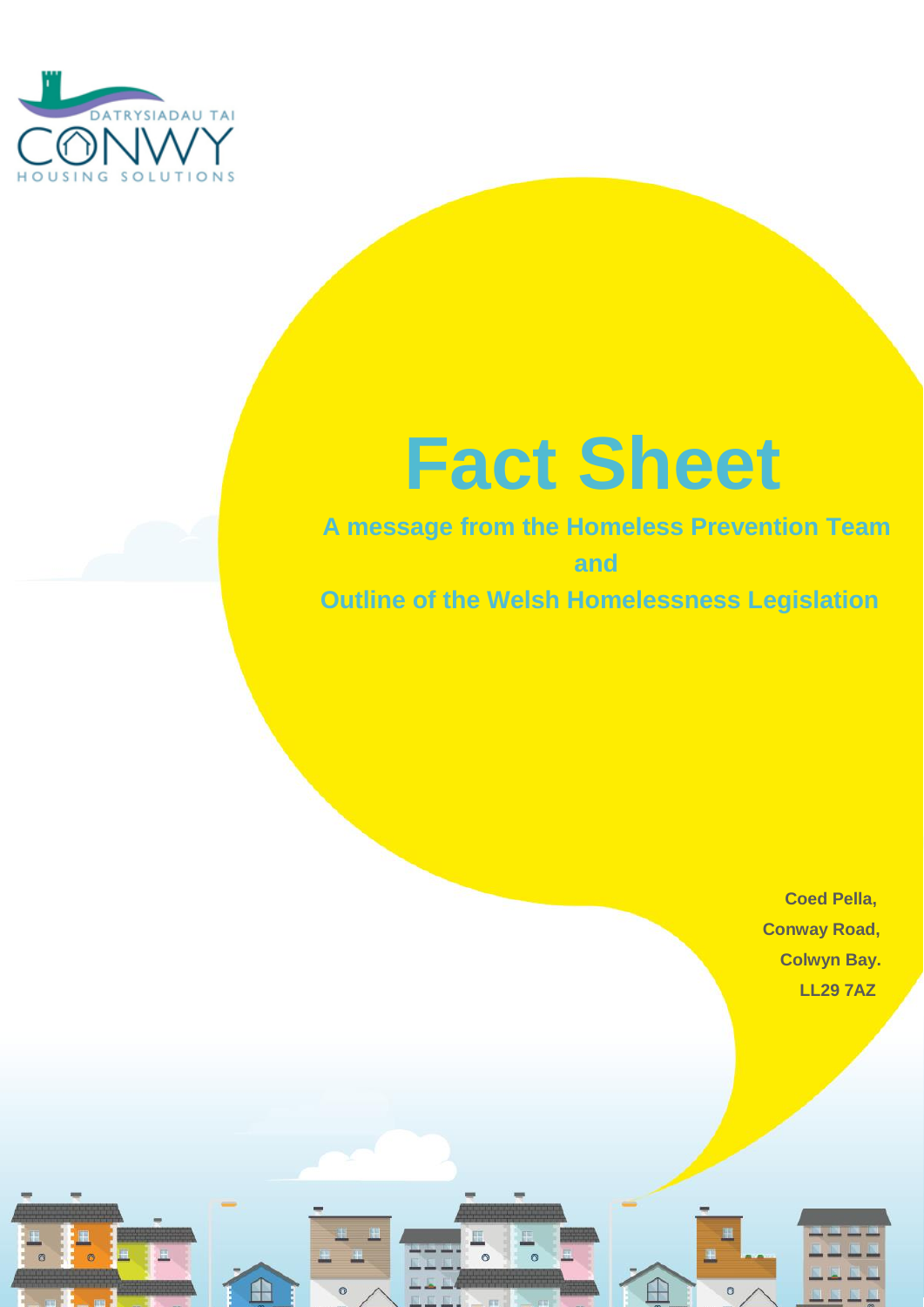

# **Fact Sheet**

# **A message from the Homeless Prevention Team and Outline of the Welsh Homelessness Legislation**

 $\overline{a}$ 

 **Coed Pella, Conway Road, Colwyn Bay. Example 20**  $\sim$  20  $\sim$  20  $\sim$  20  $\sim$  20  $\sim$  20  $\sim$  20  $\sim$  20  $\sim$  20  $\sim$  20  $\sim$  20  $\sim$  20  $\sim$  20  $\sim$  20  $\sim$  20  $\sim$  20  $\sim$  20  $\sim$  20  $\sim$  20  $\sim$  20  $\sim$  20  $\sim$  20  $\sim$  20  $\sim$  20  $\sim$  20  $\sim$  20  $\sim$  20





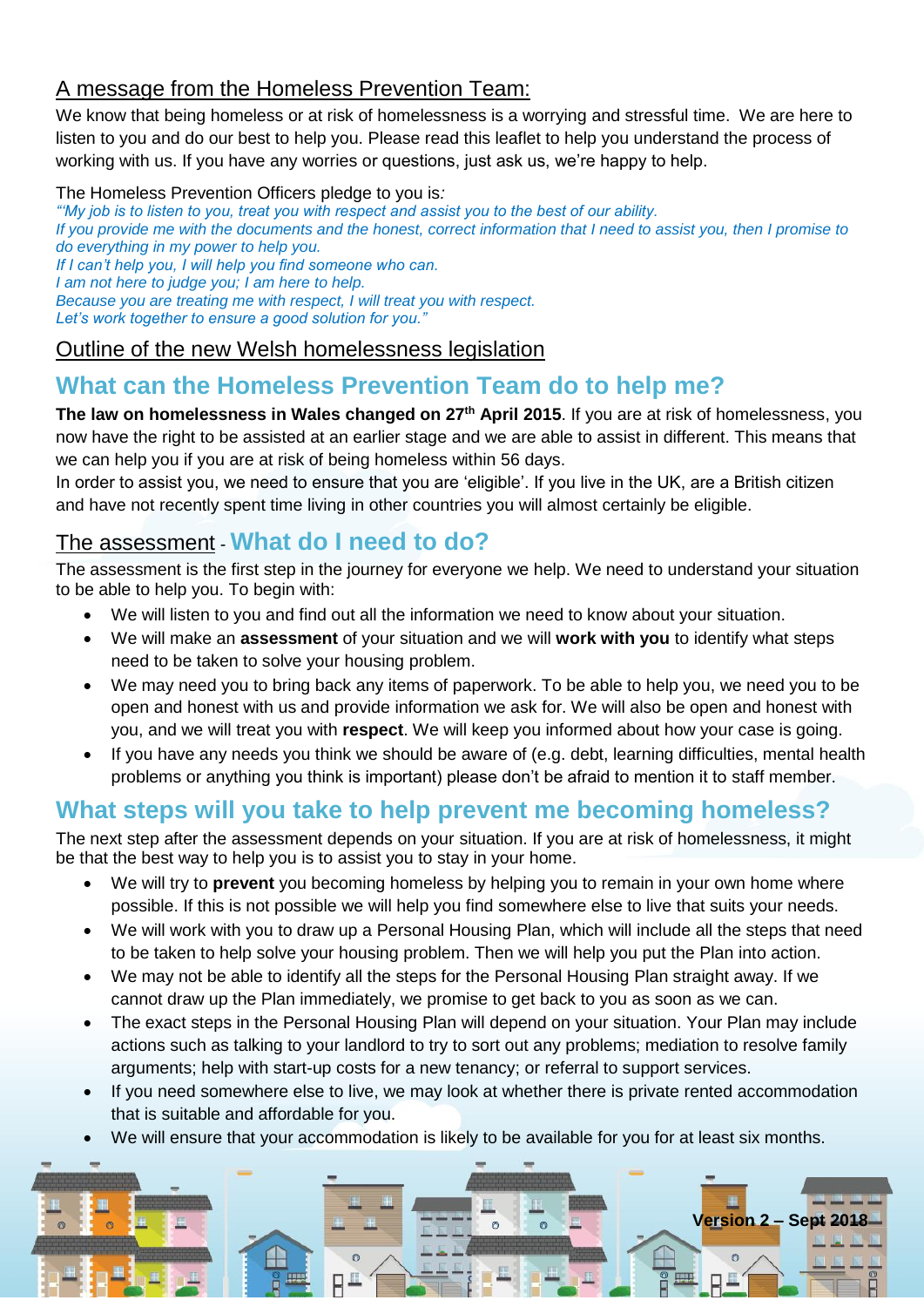#### A message from the Homeless Prevention Team:

We know that being homeless or at risk of homelessness is a worrying and stressful time. We are here to listen to you and do our best to help you. Please read this leaflet to help you understand the process of working with us. If you have any worries or questions, just ask us, we're happy to help.

#### The Homeless Prevention Officers pledge to you is*:*

*"'My job is to listen to you, treat you with respect and assist you to the best of our ability. If you provide me with the documents and the honest, correct information that I need to assist you, then I promise to do everything in my power to help you. If I can't help you, I will help you find someone who can. I am not here to judge you; I am here to help. Because you are treating me with respect, I will treat you with respect. Let's work together to ensure a good solution for you."*

#### Outline of the new Welsh homelessness legislation

# **What can the Homeless Prevention Team do to help me?**

**The law on homelessness in Wales changed on 27th April 2015**. If you are at risk of homelessness, you now have the right to be assisted at an earlier stage and we are able to assist in different. This means that we can help you if you are at risk of being homeless within 56 days.

In order to assist you, we need to ensure that you are 'eligible'. If you live in the UK, are a British citizen and have not recently spent time living in other countries you will almost certainly be eligible.

#### The assessment *-* **What do I need to do?**

The assessment is the first step in the journey for everyone we help. We need to understand your situation to be able to help you. To begin with:

- We will listen to you and find out all the information we need to know about your situation.
- We will make an **assessment** of your situation and we will **work with you** to identify what steps need to be taken to solve your housing problem.
- We may need you to bring back any items of paperwork. To be able to help you, we need you to be open and honest with us and provide information we ask for. We will also be open and honest with you, and we will treat you with **respect**. We will keep you informed about how your case is going.
- If you have any needs you think we should be aware of (e.g. debt, learning difficulties, mental health problems or anything you think is important) please don't be afraid to mention it to staff member.

### **What steps will you take to help prevent me becoming homeless?**

The next step after the assessment depends on your situation. If you are at risk of homelessness, it might be that the best way to help you is to assist you to stay in your home.

- We will try to **prevent** you becoming homeless by helping you to remain in your own home where possible. If this is not possible we will help you find somewhere else to live that suits your needs.
- We will work with you to draw up a Personal Housing Plan, which will include all the steps that need to be taken to help solve your housing problem. Then we will help you put the Plan into action.
- We may not be able to identify all the steps for the Personal Housing Plan straight away. If we cannot draw up the Plan immediately, we promise to get back to you as soon as we can.
- The exact steps in the Personal Housing Plan will depend on your situation. Your Plan may include actions such as talking to your landlord to try to sort out any problems; mediation to resolve family arguments; help with start-up costs for a new tenancy; or referral to support services.
- If you need somewhere else to live, we may look at whether there is private rented accommodation that is suitable and affordable for you.
- We will ensure that your accommodation is likely to be available for you for at least six months.

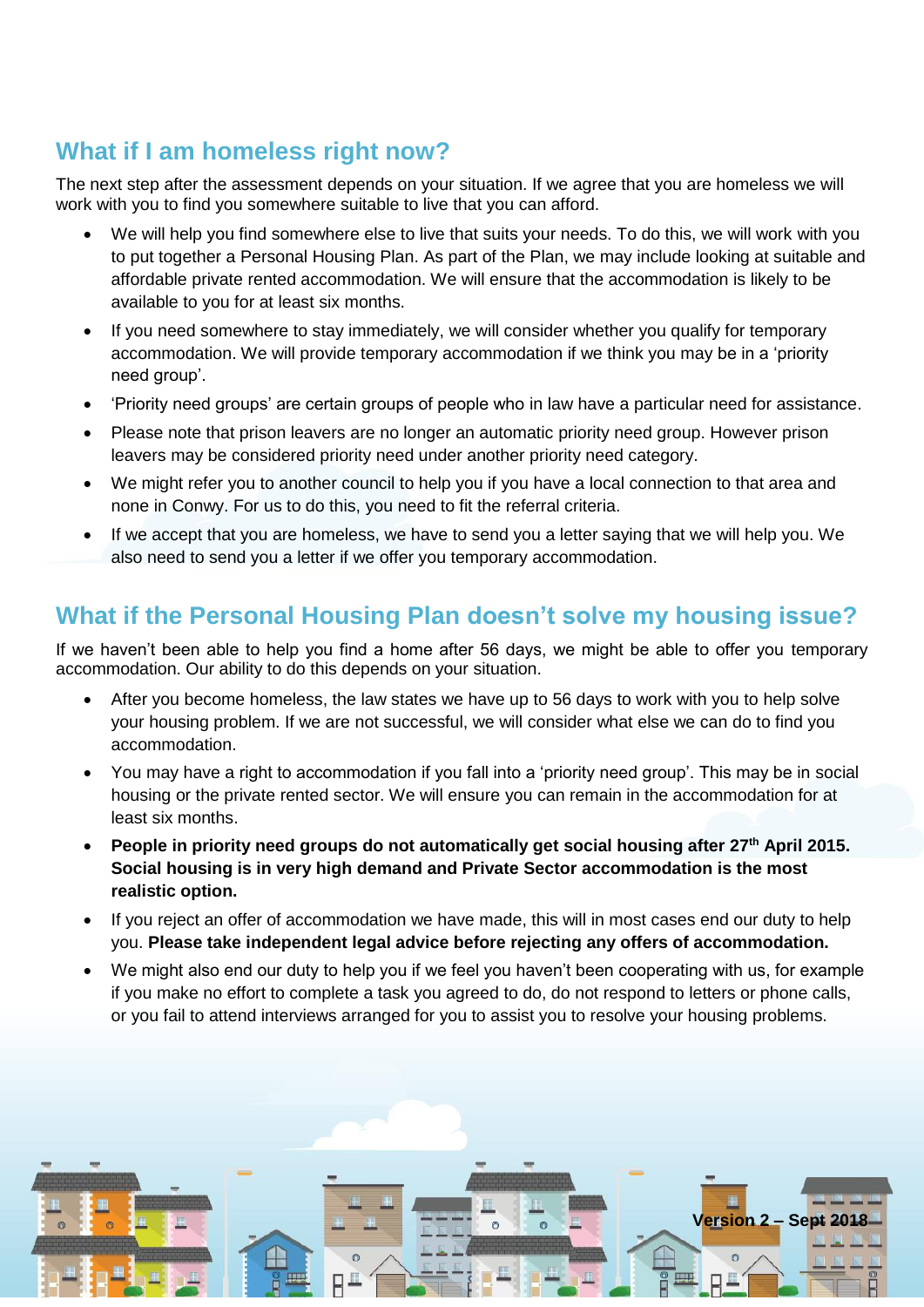# **What if I am homeless right now?**

The next step after the assessment depends on your situation. If we agree that you are homeless we will work with you to find you somewhere suitable to live that you can afford.

- We will help you find somewhere else to live that suits your needs. To do this, we will work with you to put together a Personal Housing Plan. As part of the Plan, we may include looking at suitable and affordable private rented accommodation. We will ensure that the accommodation is likely to be available to you for at least six months.
- If you need somewhere to stay immediately, we will consider whether you qualify for temporary accommodation. We will provide temporary accommodation if we think you may be in a 'priority need group'.
- 'Priority need groups' are certain groups of people who in law have a particular need for assistance.
- Please note that prison leavers are no longer an automatic priority need group. However prison leavers may be considered priority need under another priority need category.
- We might refer you to another council to help you if you have a local connection to that area and none in Conwy. For us to do this, you need to fit the referral criteria.
- If we accept that you are homeless, we have to send you a letter saying that we will help you. We also need to send you a letter if we offer you temporary accommodation.

## **What if the Personal Housing Plan doesn't solve my housing issue?**

If we haven't been able to help you find a home after 56 days, we might be able to offer you temporary accommodation. Our ability to do this depends on your situation.

- After you become homeless, the law states we have up to 56 days to work with you to help solve your housing problem. If we are not successful, we will consider what else we can do to find you accommodation.
- You may have a right to accommodation if you fall into a 'priority need group'. This may be in social housing or the private rented sector. We will ensure you can remain in the accommodation for at least six months.
- **People in priority need groups do not automatically get social housing after 27th April 2015. Social housing is in very high demand and Private Sector accommodation is the most realistic option.**
- If you reject an offer of accommodation we have made, this will in most cases end our duty to help you. **Please take independent legal advice before rejecting any offers of accommodation.**
- We might also end our duty to help you if we feel you haven't been cooperating with us, for example if you make no effort to complete a task you agreed to do, do not respond to letters or phone calls, or you fail to attend interviews arranged for you to assist you to resolve your housing problems.